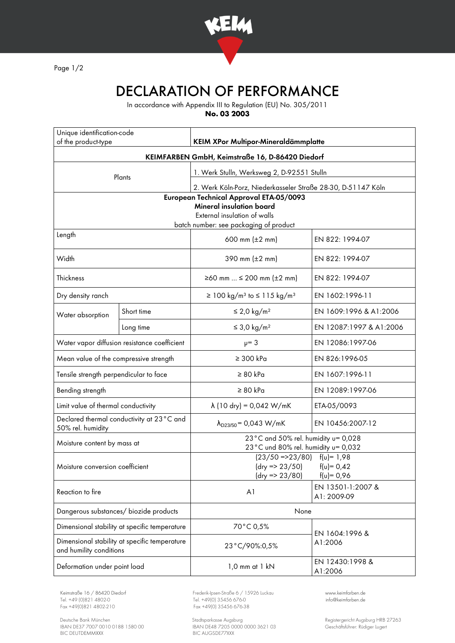

Page 1/2

## DECLARATION OF PERFORMANCE

In accordance with Appendix III to Regulation (EU) No. 305/2011

**No. 03 2003**

| Unique identification-code<br>of the product-type                        |            | KEIM XPor Multipor-Mineraldämmplatte                                                                                                                 |                                  |
|--------------------------------------------------------------------------|------------|------------------------------------------------------------------------------------------------------------------------------------------------------|----------------------------------|
| KEIMFARBEN GmbH, Keimstraße 16, D-86420 Diedorf                          |            |                                                                                                                                                      |                                  |
| Plants                                                                   |            | 1. Werk Stulln, Werksweg 2, D-92551 Stulln                                                                                                           |                                  |
|                                                                          |            | 2. Werk Köln-Porz, Niederkasseler Straße 28-30, D-51147 Köln                                                                                         |                                  |
|                                                                          |            | European Technical Approval ETA-05/0093<br><b>Mineral insulation board</b><br>External insulation of walls<br>batch number: see packaging of product |                                  |
| Length                                                                   |            | 600 mm $(\pm 2 \, \text{mm})$                                                                                                                        | EN 822: 1994-07                  |
| Width                                                                    |            | 390 mm $(\pm 2 \, \text{mm})$                                                                                                                        | EN 822: 1994-07                  |
| Thickness                                                                |            | ≥60 mm  ≤ 200 mm (±2 mm)                                                                                                                             | EN 822: 1994-07                  |
| Dry density ranch                                                        |            | $\geq 100 \text{ kg/m}^3$ to $\leq 115 \text{ kg/m}^3$                                                                                               | EN 1602:1996-11                  |
| Water absorption                                                         | Short time | $\leq$ 2,0 kg/m <sup>2</sup>                                                                                                                         | EN 1609:1996 & A1:2006           |
|                                                                          | Long time  | $\leq$ 3,0 kg/m <sup>2</sup>                                                                                                                         | EN 12087:1997 & A1:2006          |
| Water vapor diffusion resistance coefficient                             |            | $\mu = 3$                                                                                                                                            | EN 12086:1997-06                 |
| Mean value of the compressive strength                                   |            | $\geq$ 300 kPa                                                                                                                                       | EN 826:1996-05                   |
| Tensile strength perpendicular to face                                   |            | $\geq 80$ kPa                                                                                                                                        | EN 1607:1996-11                  |
| Bending strength                                                         |            | $\geq 80$ kPa                                                                                                                                        | EN 12089:1997-06                 |
| Limit value of thermal conductivity                                      |            | $\lambda$ (10 dry) = 0,042 W/mK                                                                                                                      | ETA-05/0093                      |
| Declared thermal conductivity at 23°C and<br>50% rel. humidity           |            | $\lambda_{D23/50}$ = 0,043 W/mK                                                                                                                      | EN 10456:2007-12                 |
| Moisture content by mass at                                              |            | 23°C and 50% rel. humidity u= 0,028<br>23°C und 80% rel. humidity u= 0,032                                                                           |                                  |
| Moisture conversion coefficient                                          |            | $(23/50 = 23/80)$ $f(u) = 1.98$<br>$(dry = 23/50)$<br>$f(v) = 0,42$<br>$f(u) = 0,96$<br>$\frac{dy}{3}$ => 23/80)                                     |                                  |
| Reaction to fire                                                         |            | A <sub>1</sub>                                                                                                                                       | EN 13501-1:2007 &<br>A1: 2009-09 |
| Dangerous substances/ biozide products                                   |            | None                                                                                                                                                 |                                  |
| Dimensional stability at specific temperature                            |            | 70°C 0,5%                                                                                                                                            | EN 1604:1996 &<br>A1:2006        |
| Dimensional stability at specific temperature<br>and humility conditions |            | 23°C/90%:0,5%                                                                                                                                        |                                  |
| Deformation under point load                                             |            | 1,0 mm at 1 kN                                                                                                                                       | EN 12430:1998 &<br>A1:2006       |

Tel. +49 (0)821 4802-0 Tel. +49 (0) 35456 676-0 Fox +49 (0) 821 4802-0 info@ex +49 (0) 35456 676-38

Deutsche Bank München Stadtsparkasse Augsburg Registergericht Augsburg HRB 27263 IBAN DE37 7007 0010 0188 1580 00 IBAN DE48 7205 0000 0000 3621 03 Geschäftsführer: Rüdiger Lugert BIC DEUTDEMMXXX BIC AUGSDE77XXX

Keimstraße 16 / 86420 Diedorf Frederik-Ipsen-Straße 6 / 15926 Luckau [www.keimfarben.de](http://www.keimfarben.de/)  $Fax + 49(0)35456676-38$